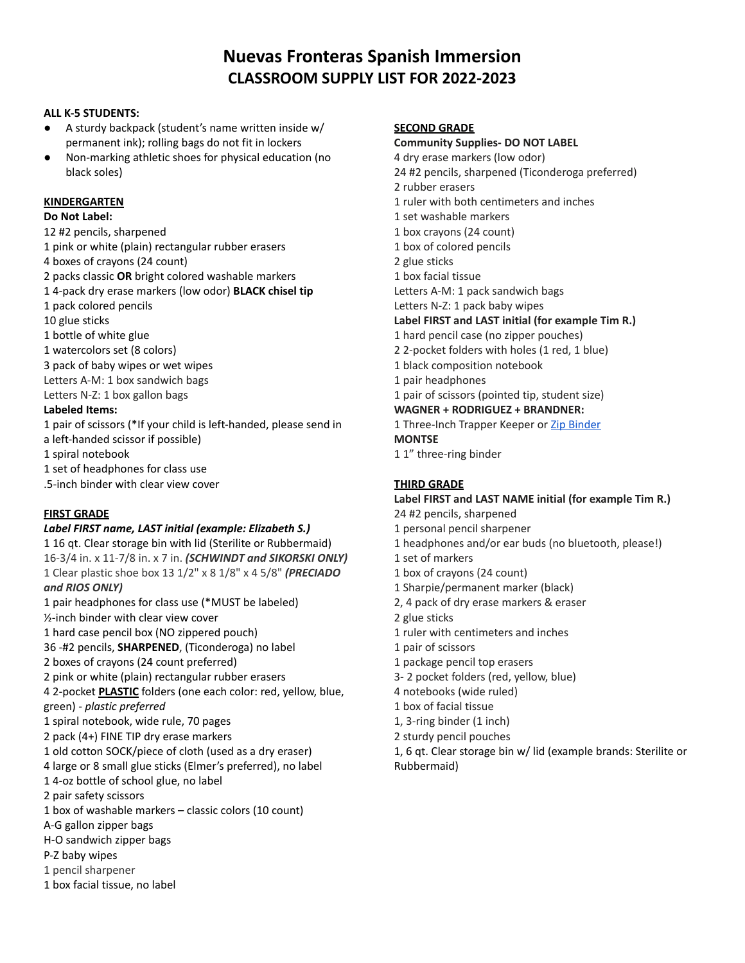# **Nuevas Fronteras Spanish Immersion CLASSROOM SUPPLY LIST FOR 2022-2023**

### **ALL K-5 STUDENTS:**

- A sturdy backpack (student's name written inside w/ permanent ink); rolling bags do not fit in lockers
- Non-marking athletic shoes for physical education (no black soles)

#### **KINDERGARTEN**

### **Do Not Label:**

#2 pencils, sharpened

- pink or white (plain) rectangular rubber erasers
- boxes of crayons (24 count)
- packs classic **OR** bright colored washable markers
- 4-pack dry erase markers (low odor) **BLACK chisel tip**
- pack colored pencils
- glue sticks
- bottle of white glue
- watercolors set (8 colors)
- pack of baby wipes or wet wipes
- Letters A-M: 1 box sandwich bags
- Letters N-Z: 1 box gallon bags

# **Labeled Items:**

- pair of scissors (\*If your child is left-handed, please send in a left-handed scissor if possible)
- spiral notebook
- set of headphones for class use
- .5-inch binder with clear view cover

## **FIRST GRADE**

# *Label FIRST name, LAST initial (example: Elizabeth S.)*

 16 qt. Clear storage bin with lid (Sterilite or Rubbermaid) 16-3/4 in. x 11-7/8 in. x 7 in. *(SCHWINDT and SIKORSKI ONLY)* Clear plastic shoe box 13 1/2" x 8 1/8" x 4 5/8" *(PRECIADO and RIOS ONLY)* pair headphones for class use (\*MUST be labeled) ½-inch binder with clear view cover hard case pencil box (NO zippered pouch) -#2 pencils, **SHARPENED**, (Ticonderoga) no label boxes of crayons (24 count preferred) pink or white (plain) rectangular rubber erasers 2-pocket **PLASTIC** folders (one each color: red, yellow, blue, green) - *plastic preferred* spiral notebook, wide rule, 70 pages pack (4+) FINE TIP dry erase markers old cotton SOCK/piece of cloth (used as a dry eraser) large or 8 small glue sticks (Elmer's preferred), no label 4-oz bottle of school glue, no label pair safety scissors box of washable markers – classic colors (10 count) A-G gallon zipper bags H-O sandwich zipper bags P-Z baby wipes pencil sharpener

box facial tissue, no label

### **SECOND GRADE**

**Community Supplies- DO NOT LABEL** dry erase markers (low odor) #2 pencils, sharpened (Ticonderoga preferred) rubber erasers ruler with both centimeters and inches set washable markers box crayons (24 count) box of colored pencils glue sticks box facial tissue Letters A-M: 1 pack sandwich bags Letters N-Z: 1 pack baby wipes **Label FIRST and LAST initial (for example Tim R.)** hard pencil case (no zipper pouches) 2-pocket folders with holes (1 red, 1 blue) black composition notebook pair headphones pair of scissors (pointed tip, student size)

## **WAGNER + RODRIGUEZ + BRANDNER:**

1 Three-Inch Trapper Keeper or Zip [Binder](https://www.amazon.com/AmazonBasics-3-Ring-Zipper-Binder-Ring/dp/B07D8RPWRG/ref=sxin_16_ac_d_bv?ac_md=0-0-QmVzdCBWYWx1ZQ%3D%3D-ac_d_bv_bv_bv&cv_ct_cx=3%2Binch%2Bzipper%2Bbinder&keywords=3%2Binch%2Bzipper%2Bbinder&pd_rd_i=B07D8RPWRG&pd_rd_r=b37ac533-bf8a-4312-b747-110aaf048cff&pd_rd_w=iBprK&pd_rd_wg=XfxJs&pf_rd_p=1d12f5d0-14be-4b88-8fc3-d9e9a96e0ca9&pf_rd_r=T0V978KKMKCH0GSGXPP0&qid=1649792666&sprefix=3%2Binch%2Bzip%2Caps%2C135&sr=1-1-f4ff053e-b1e8-4d31-8f95-56d755c862ba&th=1) **MONTSE**

1" three-ring binder

# **THIRD GRADE**

## **Label FIRST and LAST NAME initial (for example Tim R.)**

- #2 pencils, sharpened
- personal pencil sharpener
- headphones and/or ear buds (no bluetooth, please!)
- set of markers
- box of crayons (24 count)
- Sharpie/permanent marker (black)
- 2, 4 pack of dry erase markers & eraser
- glue sticks
- ruler with centimeters and inches
- pair of scissors
- package pencil top erasers
- 3- 2 pocket folders (red, yellow, blue)
- notebooks (wide ruled)
- box of facial tissue
- 1, 3-ring binder (1 inch)
- sturdy pencil pouches
- 1, 6 qt. Clear storage bin w/ lid (example brands: Sterilite or Rubbermaid)